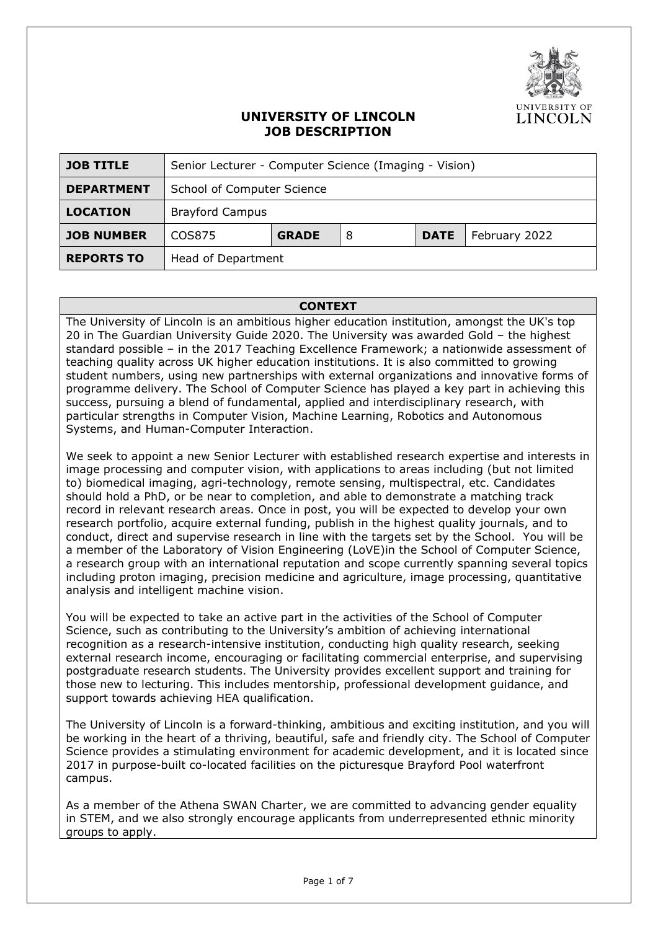

## **UNIVERSITY OF LINCOLN JOB DESCRIPTION**

| <b>JOB TITLE</b>  | Senior Lecturer - Computer Science (Imaging - Vision) |              |   |             |               |
|-------------------|-------------------------------------------------------|--------------|---|-------------|---------------|
| <b>DEPARTMENT</b> | School of Computer Science                            |              |   |             |               |
| <b>LOCATION</b>   | <b>Brayford Campus</b>                                |              |   |             |               |
| <b>JOB NUMBER</b> | COS875                                                | <b>GRADE</b> | 8 | <b>DATE</b> | February 2022 |
| <b>REPORTS TO</b> | Head of Department                                    |              |   |             |               |

#### **CONTEXT**

The University of Lincoln is an ambitious higher education institution, amongst the UK's top 20 in The Guardian University Guide 2020. The University was awarded Gold – the highest standard possible – in the 2017 Teaching Excellence Framework; a nationwide assessment of teaching quality across UK higher education institutions. It is also committed to growing student numbers, using new partnerships with external organizations and innovative forms of programme delivery. The School of Computer Science has played a key part in achieving this success, pursuing a blend of fundamental, applied and interdisciplinary research, with particular strengths in Computer Vision, Machine Learning, Robotics and Autonomous Systems, and Human-Computer Interaction.

We seek to appoint a new Senior Lecturer with established research expertise and interests in image processing and computer vision, with applications to areas including (but not limited to) biomedical imaging, agri-technology, remote sensing, multispectral, etc. Candidates should hold a PhD, or be near to completion, and able to demonstrate a matching track record in relevant research areas. Once in post, you will be expected to develop your own research portfolio, acquire external funding, publish in the highest quality journals, and to conduct, direct and supervise research in line with the targets set by the School. You will be a member of the Laboratory of Vision Engineering (LoVE)in the School of Computer Science, a research group with an international reputation and scope currently spanning several topics including proton imaging, precision medicine and agriculture, image processing, quantitative analysis and intelligent machine vision.

You will be expected to take an active part in the activities of the School of Computer Science, such as contributing to the University's ambition of achieving international recognition as a research-intensive institution, conducting high quality research, seeking external research income, encouraging or facilitating commercial enterprise, and supervising postgraduate research students. The University provides excellent support and training for those new to lecturing. This includes mentorship, professional development guidance, and support towards achieving HEA qualification.

The University of Lincoln is a forward-thinking, ambitious and exciting institution, and you will be working in the heart of a thriving, beautiful, safe and friendly city. The School of Computer Science provides a stimulating environment for academic development, and it is located since 2017 in purpose-built co-located facilities on the picturesque Brayford Pool waterfront campus.

As a member of the Athena SWAN Charter, we are committed to advancing gender equality in STEM, and we also strongly encourage applicants from underrepresented ethnic minority groups to apply.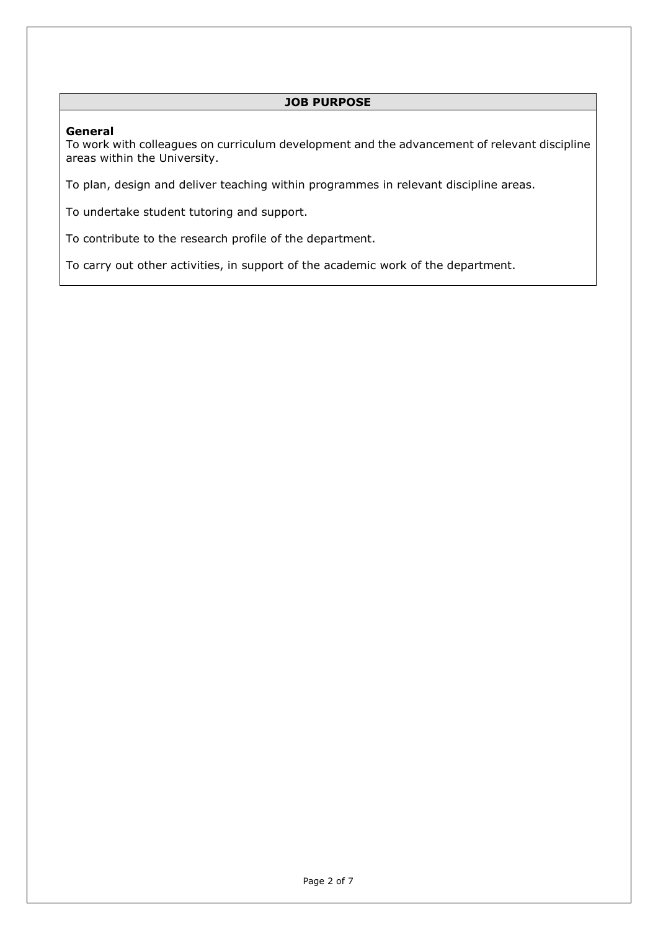### **JOB PURPOSE**

#### **General**

To work with colleagues on curriculum development and the advancement of relevant discipline areas within the University.

To plan, design and deliver teaching within programmes in relevant discipline areas.

To undertake student tutoring and support.

To contribute to the research profile of the department.

To carry out other activities, in support of the academic work of the department.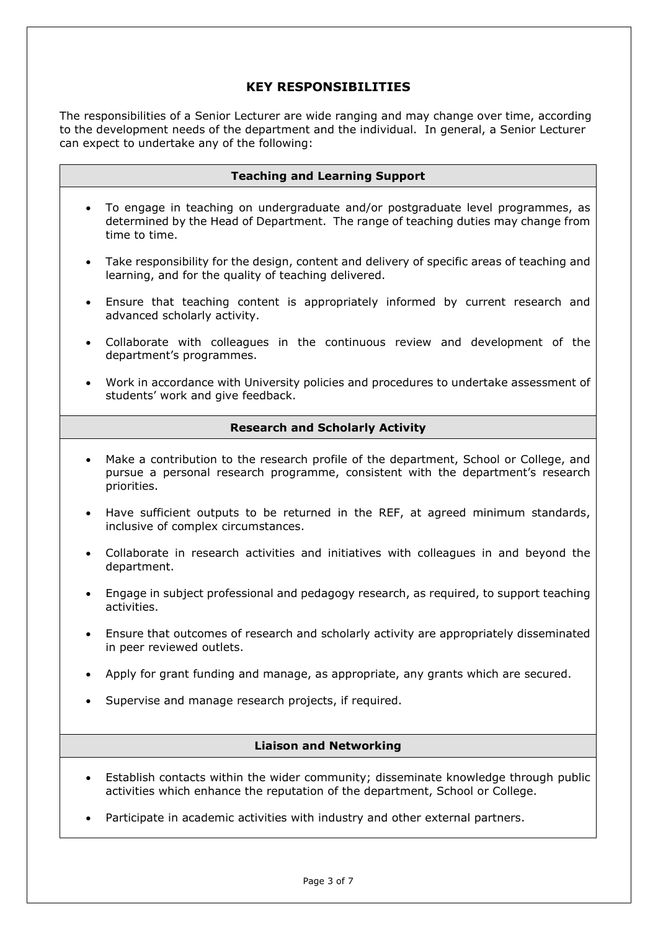# **KEY RESPONSIBILITIES**

The responsibilities of a Senior Lecturer are wide ranging and may change over time, according to the development needs of the department and the individual. In general, a Senior Lecturer can expect to undertake any of the following:

|                                        | <b>Teaching and Learning Support</b>                                                                                                                                                    |  |  |
|----------------------------------------|-----------------------------------------------------------------------------------------------------------------------------------------------------------------------------------------|--|--|
| $\bullet$                              | To engage in teaching on undergraduate and/or postgraduate level programmes, as<br>determined by the Head of Department. The range of teaching duties may change from<br>time to time.  |  |  |
| $\bullet$                              | Take responsibility for the design, content and delivery of specific areas of teaching and<br>learning, and for the quality of teaching delivered.                                      |  |  |
| $\bullet$                              | Ensure that teaching content is appropriately informed by current research and<br>advanced scholarly activity.                                                                          |  |  |
| $\bullet$                              | Collaborate with colleagues in the continuous review and development of the<br>department's programmes.                                                                                 |  |  |
| $\bullet$                              | Work in accordance with University policies and procedures to undertake assessment of<br>students' work and give feedback.                                                              |  |  |
| <b>Research and Scholarly Activity</b> |                                                                                                                                                                                         |  |  |
| $\bullet$                              | Make a contribution to the research profile of the department, School or College, and<br>pursue a personal research programme, consistent with the department's research<br>priorities. |  |  |
| $\bullet$                              | Have sufficient outputs to be returned in the REF, at agreed minimum standards,<br>inclusive of complex circumstances.                                                                  |  |  |
| $\bullet$                              | Collaborate in research activities and initiatives with colleagues in and beyond the<br>department.                                                                                     |  |  |
| $\bullet$                              | Engage in subject professional and pedagogy research, as required, to support teaching<br>activities.                                                                                   |  |  |
| $\bullet$                              | Ensure that outcomes of research and scholarly activity are appropriately disseminated<br>in peer reviewed outlets.                                                                     |  |  |
| $\bullet$                              | Apply for grant funding and manage, as appropriate, any grants which are secured.                                                                                                       |  |  |
| $\bullet$                              | Supervise and manage research projects, if required.                                                                                                                                    |  |  |
| <b>Liaison and Networking</b>          |                                                                                                                                                                                         |  |  |
|                                        | Establish contacts within the wider community; disseminate knowledge through public<br>activities which enhance the reputation of the department, School or College.                    |  |  |

• Participate in academic activities with industry and other external partners.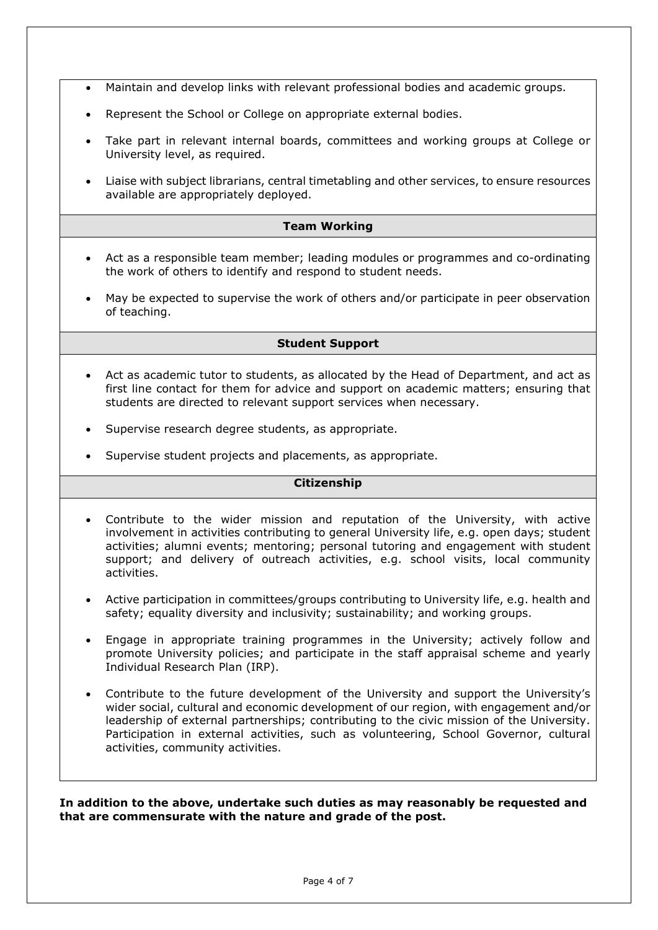- Maintain and develop links with relevant professional bodies and academic groups.
- Represent the School or College on appropriate external bodies.
- Take part in relevant internal boards, committees and working groups at College or University level, as required.
- Liaise with subject librarians, central timetabling and other services, to ensure resources available are appropriately deployed.

#### **Team Working**

- Act as a responsible team member; leading modules or programmes and co-ordinating the work of others to identify and respond to student needs.
- May be expected to supervise the work of others and/or participate in peer observation of teaching.

#### **Student Support**

- Act as academic tutor to students, as allocated by the Head of Department, and act as first line contact for them for advice and support on academic matters; ensuring that students are directed to relevant support services when necessary.
- Supervise research degree students, as appropriate.
- Supervise student projects and placements, as appropriate.

#### **Citizenship**

- Contribute to the wider mission and reputation of the University, with active involvement in activities contributing to general University life, e.g. open days; student activities; alumni events; mentoring; personal tutoring and engagement with student support; and delivery of outreach activities, e.g. school visits, local community activities.
- Active participation in committees/groups contributing to University life, e.g. health and safety; equality diversity and inclusivity; sustainability; and working groups.
- Engage in appropriate training programmes in the University; actively follow and promote University policies; and participate in the staff appraisal scheme and yearly Individual Research Plan (IRP).
- Contribute to the future development of the University and support the University's wider social, cultural and economic development of our region, with engagement and/or leadership of external partnerships; contributing to the civic mission of the University. Participation in external activities, such as volunteering, School Governor, cultural activities, community activities.

**In addition to the above, undertake such duties as may reasonably be requested and that are commensurate with the nature and grade of the post.**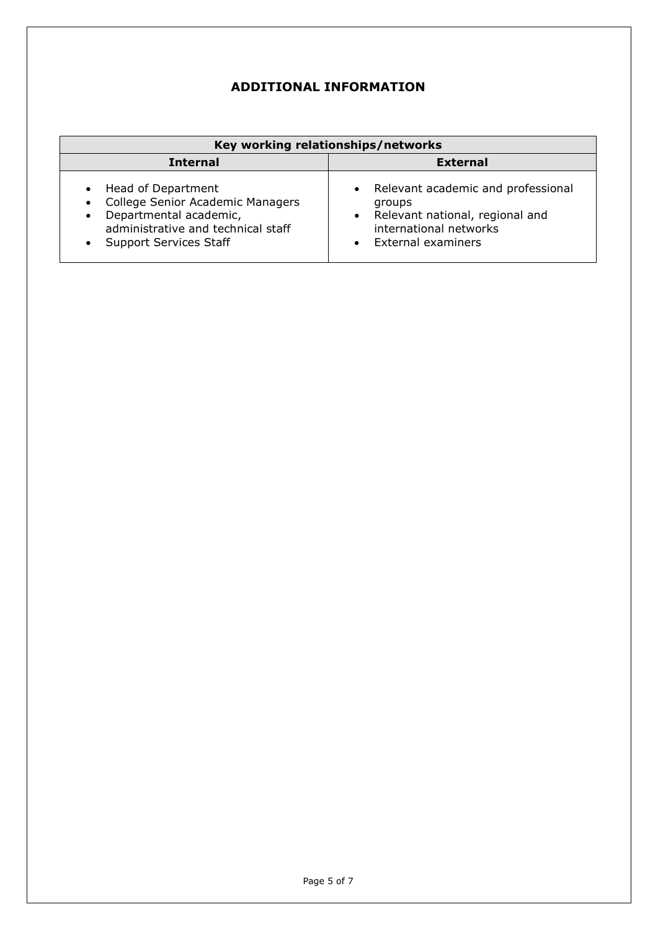# **ADDITIONAL INFORMATION**

| Key working relationships/networks                                                                                                                                                |                                                                                                                                       |  |  |  |  |
|-----------------------------------------------------------------------------------------------------------------------------------------------------------------------------------|---------------------------------------------------------------------------------------------------------------------------------------|--|--|--|--|
| <b>Internal</b>                                                                                                                                                                   | <b>External</b>                                                                                                                       |  |  |  |  |
| Head of Department<br>College Senior Academic Managers<br>$\bullet$<br>Departmental academic,<br>$\bullet$<br>administrative and technical staff<br><b>Support Services Staff</b> | • Relevant academic and professional<br>groups<br>• Relevant national, regional and<br>international networks<br>• External examiners |  |  |  |  |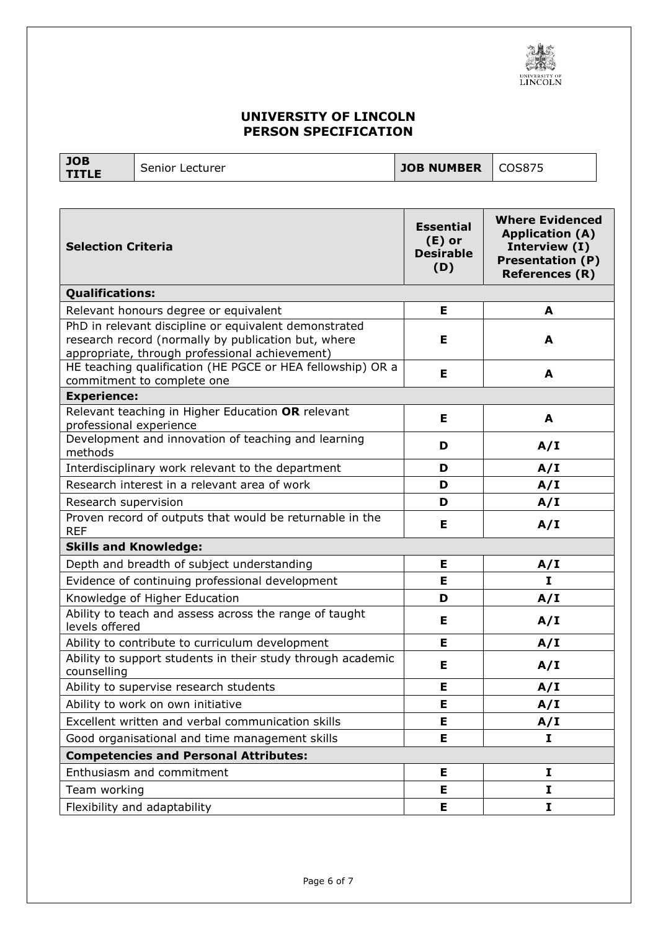

# **UNIVERSITY OF LINCOLN PERSON SPECIFICATION**

**JOB** 

**THE** Senior Lecturer **TITLE** Senior Lecturer **JOB NUMBER** COS875

| <b>Selection Criteria</b>                                                                                                                                      | <b>Essential</b><br>$(E)$ or<br><b>Desirable</b><br>(D) | <b>Where Evidenced</b><br><b>Application (A)</b><br>Interview (I)<br><b>Presentation (P)</b><br><b>References (R)</b> |  |  |
|----------------------------------------------------------------------------------------------------------------------------------------------------------------|---------------------------------------------------------|-----------------------------------------------------------------------------------------------------------------------|--|--|
| <b>Qualifications:</b>                                                                                                                                         |                                                         |                                                                                                                       |  |  |
| Relevant honours degree or equivalent                                                                                                                          | E.                                                      | A                                                                                                                     |  |  |
| PhD in relevant discipline or equivalent demonstrated<br>research record (normally by publication but, where<br>appropriate, through professional achievement) | Е                                                       | A                                                                                                                     |  |  |
| HE teaching qualification (HE PGCE or HEA fellowship) OR a<br>commitment to complete one                                                                       | Е                                                       | A                                                                                                                     |  |  |
| <b>Experience:</b>                                                                                                                                             |                                                         |                                                                                                                       |  |  |
| Relevant teaching in Higher Education OR relevant<br>professional experience                                                                                   | Е                                                       | A                                                                                                                     |  |  |
| Development and innovation of teaching and learning<br>methods                                                                                                 | D                                                       | A/I                                                                                                                   |  |  |
| Interdisciplinary work relevant to the department                                                                                                              | D                                                       | A/I                                                                                                                   |  |  |
| Research interest in a relevant area of work                                                                                                                   | D                                                       | A/I                                                                                                                   |  |  |
| Research supervision                                                                                                                                           | D                                                       | A/I                                                                                                                   |  |  |
| Proven record of outputs that would be returnable in the<br><b>REF</b>                                                                                         | Е                                                       | A/I                                                                                                                   |  |  |
| <b>Skills and Knowledge:</b>                                                                                                                                   |                                                         |                                                                                                                       |  |  |
| Depth and breadth of subject understanding                                                                                                                     | Е                                                       | A/I                                                                                                                   |  |  |
| Evidence of continuing professional development                                                                                                                | Е                                                       | $\mathbf{I}$                                                                                                          |  |  |
| Knowledge of Higher Education                                                                                                                                  | D                                                       | A/I                                                                                                                   |  |  |
| Ability to teach and assess across the range of taught<br>levels offered                                                                                       | Е                                                       | A/I                                                                                                                   |  |  |
| Ability to contribute to curriculum development                                                                                                                | Е                                                       | A/I                                                                                                                   |  |  |
| Ability to support students in their study through academic<br>counselling                                                                                     | Е                                                       | A/I                                                                                                                   |  |  |
| Ability to supervise research students                                                                                                                         | Е                                                       | A/I                                                                                                                   |  |  |
| Ability to work on own initiative                                                                                                                              | E                                                       | A/I                                                                                                                   |  |  |
| Excellent written and verbal communication skills                                                                                                              | Е                                                       | A/I                                                                                                                   |  |  |
| Good organisational and time management skills                                                                                                                 | E.                                                      | $\mathbf{I}$                                                                                                          |  |  |
| <b>Competencies and Personal Attributes:</b>                                                                                                                   |                                                         |                                                                                                                       |  |  |
| Enthusiasm and commitment                                                                                                                                      | Е                                                       | I                                                                                                                     |  |  |
| Team working                                                                                                                                                   | E.                                                      | $\mathbf I$                                                                                                           |  |  |
| Flexibility and adaptability                                                                                                                                   | Е                                                       | I                                                                                                                     |  |  |